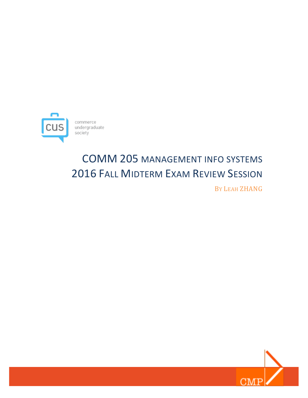

# COMM 205 MANAGEMENT INFO SYSTEMS **2016 FALL MIDTERM EXAM REVIEW SESSION**

BY LEAH ZHANG

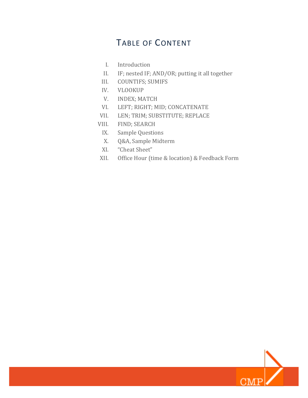## TABLE OF CONTENT

- I. Introduction
- II. IF; nested IF; AND/OR; putting it all together
- III. COUNTIFS; SUMIFS
- IV. VLOOKUP
- V. INDEX; MATCH
- VI. LEFT; RIGHT; MID; CONCATENATE
- VII. LEN; TRIM; SUBSTITUTE; REPLACE
- VIII. FIND; SEARCH
	- IX. Sample Questions
	- X. Q&A, Sample Midterm
	- XI. "Cheat Sheet"
- XII. Office Hour (time & location) & Feedback Form

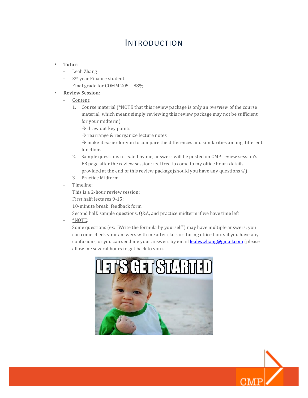### INTRODUCTION

- **Tutor**:
	- Leah Zhang
	- 3<sup>rd</sup> year Finance student
	- Final grade for COMM 205 88%
- **Review Session**:
	- Content:
		- 1. Course material (\*NOTE that this review package is only an *overview* of the course material, which means simply reviewing this review package may not be sufficient for your midterm)
			- $\rightarrow$  draw out key points
			- $\rightarrow$  rearrange & reorganize lecture notes
			- $\rightarrow$  make it easier for you to compare the differences and similarities among different functions
		- 2. Sample questions (created by me, answers will be posted on CMP review session's FB page after the review session; feel free to come to my office hour (details provided at the end of this review package)should you have any questions  $\circledcirc$ )
		- 3. Practice Midterm
	- Timeline:

This is a 2-hour review session;

First half: lectures 9-15;

10-minute break: feedback form

Second half: sample questions, Q&A, and practice midterm if we have time left

- \*NOTE:

Some questions (ex: "Write the formula by yourself") may have multiple answers; you can come check your answers with me after class or during office hours if you have any confusions, or you can send me your answers by email **leahw.zhang@gmail.com** (please allow me several hours to get back to you).



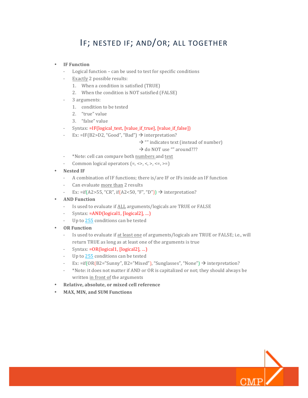## IF; NESTED IF; AND/OR; ALL TOGETHER

### • **IF Function**

- Logical function can be used to test for specific conditions
- Exactly 2 possible results:
	- 1. When a condition is satisfied (TRUE)
	- 2. When the condition is NOT satisfied (FALSE)
- 3 arguments:
	- 1. condition to be tested
	- 2. "true" value
	- 3. "false" value
- Syntax: =IF(logical\_test, [value\_if\_true], [value\_if\_false])
- Ex: =IF(B2>D2, "Good", "Bad")  $\rightarrow$  interpretation?
	- $\rightarrow$  "" indicates text (instead of number)

 $\rightarrow$  do NOT use "" around???

- \*Note: cell can compare both numbers and text
- Common logical operators  $(=, \langle \rangle, \langle \rangle, \langle =, \rangle)$
- **Nested IF**
	- A combination of IF functions; there is/are IF or IFs inside an IF function
	- Can evaluate more than 2 results
	- Ex: =if(A2>55, "CR", if(A2<50, "F", "D"))  $\rightarrow$  interpretation?
- **AND Function**
	- Is used to evaluate if ALL arguments/logicals are TRUE or FALSE
	- Syntax:  $=AND(logical1, [logical2], ...)$
	- Up to 255 conditions can be tested
- **OR Function**
	- Is used to evaluate if at least one of arguments/logicals are TRUE or FALSE; i.e., will return TRUE as long as at least one of the arguments is true
	- Syntax:  $=OR(logical1, [logical2], ...)$
	- Up to  $255$  conditions can be tested
	- Ex:  $=$ if(OR(B2="Sunny", B2="Mixed"), "Sunglasses", "None")  $\rightarrow$  interpretation?
	- \*Note: it does not matter if AND or OR is capitalized or not; they should always be written in front of the arguments
- **Relative, absolute, or mixed cell reference**
- **MAX, MIN, and SUM Functions**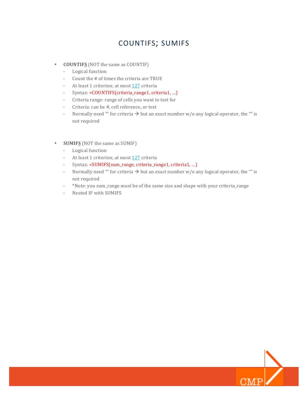### COUNTIFS; SUMIFS

- **COUNTIFS** (NOT the same as COUNTIF)
	- Logical function
	- Count the  $#$  of times the criteria are TRUE
	- At least 1 criterion; at most 127 criteria
	- Syntax: =COUNTIFS(criteria\_range1, criteria1, ...)
	- Criteria range: range of cells you want to test for
	- Criteria: can be #, cell reference, or text
	- Normally need "" for criteria  $\rightarrow$  but an exact number w/o any logical operator, the "" is not required
- **SUMIFS** (NOT the same as SUMIF)
	- Logical function
	- At least 1 criterion; at most 127 criteria
	- Syntax: =SUMIFS(sum\_range, criteria\_range1, criteria1, ...)
	- Normally need "" for criteria  $\rightarrow$  but an exact number w/o any logical operator, the "" is not required
	- \*Note: you sum\_range must be of the same size and shape with your criteria\_range
	- Nested IF with SUMIFS

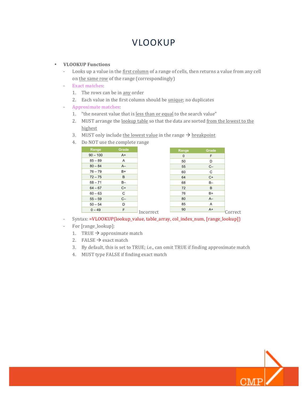## VLOOKUP

### • **VLOOKUP Functions**

- Looks up a value in the first column of a range of cells, then returns a value from any cell on the same row of the range (correspondingly)
- Exact matches:
	- 1. The rows can be in any order
	- 2. Each value in the first column should be unique; no duplicates
- Approximate matches:
	- 1. "the nearest value that is less than or equal to the search value"
	- 2. MUST arrange the lookup table so that the data are sorted from the lowest to the highest
	- 3. MUST only include the lowest value in the range  $\rightarrow$  breakpoint
	- 4. Do NOT use the complete range



- Syntax: =VLOOKUP(lookup\_value, table\_array, col\_index\_num, [range\_lookup])
- For [range\_lookup]:
	- 1. TRUE  $\rightarrow$  approximate match
	- 2. FALSE  $\rightarrow$  exact match
	- 3. By default, this is set to TRUE; i.e., can omit TRUE if finding approximate match
	- 4. MUST type FALSE if finding exact match

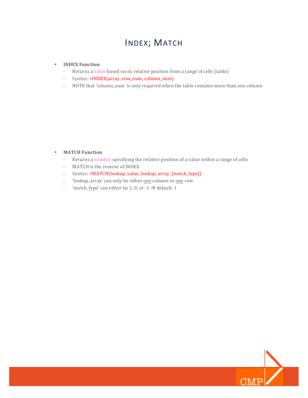## INDEX; MATCH

#### • **INDEX Function**

- Returns a value based on its relative position from a range of cells (table)
- Syntax: =INDEX(array, row\_num, column\_num)
- NOTE that 'column\_num' is only required when the table contains more than one column

### • **MATCH Function**

- Returns a number specifying the relative position of a value within a range of cells
- MATCH is the reverse of INDEX
- Syntax: =MATCH(lookup\_value, lookup\_array, [match\_type])
- 'lookup\_array' can only be either one column or one row
- 'match\_type' can either be 1, 0, or -1  $\rightarrow$  default: 1

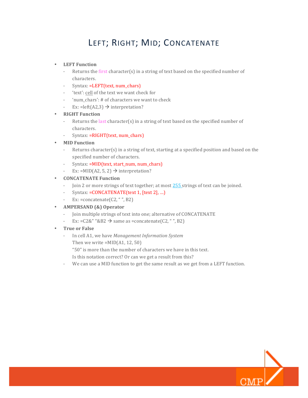## LEFT; RIGHT; MID; CONCATENATE

#### • **LEFT Function**

- Returns the first character(s) in a string of text based on the specified number of characters.
- Syntax: =LEFT(text, num\_chars)
- 'text': cell of the text we want check for
- 'num\_chars': # of characters we want to check
- Ex: = left(A2,3)  $\rightarrow$  interpretation?
- **RIGHT Function**
	- Returns the last character(s) in a string of text based on the specified number of characters.
	- Syntax: =RIGHT(text, num\_chars)
- **MID Function**
	- Returns character(s) in a string of text, starting at a specified position and based on the specified number of characters.
	- Syntax: =MID(text, start\_num, num\_chars)
	- Ex: =MID(A2, 5, 2)  $\rightarrow$  interpretation?
- **CONCATENATE Function** 
	- Join 2 or more strings of text together; at most 255 strings of text can be joined.
	- Syntax: =CONCATENATE(text 1, [text 2], ...)
	- Ex:  $=$ concatenate $(C2, "", B2)$
- **AMPERSAND (&) Operator**
	- Join multiple strings of text into one; alternative of CONCATENATE
	- Ex: =C2&" "&B2  $\rightarrow$  same as =concatenate(C2, "", B2)
- **True or False**
	- In cell A1, we have *Management Information System* Then we write  $=MID(A1, 12, 50)$ 
		- "50" is more than the number of characters we have in this text.
		- Is this notation correct? Or can we get a result from this?
	- We can use a MID function to get the same result as we get from a LEFT function.

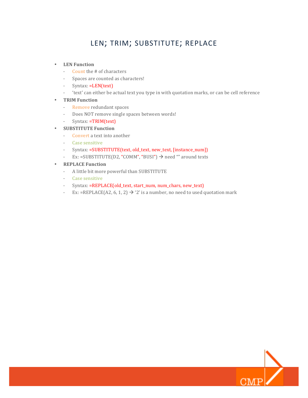### LEN; TRIM; SUBSTITUTE; REPLACE

- **LEN Function**
	- Count the # of characters
	- Spaces are counted as characters!
	- Syntax: =LEN(text)
	- 'text' can either be actual text you type in with quotation marks, or can be cell reference
- **TRIM Function**
	- Remove redundant spaces
	- Does NOT remove single spaces between words!
	- Syntax: =TRIM(text)
- **SUBSTITUTE Function**
	- Convert a text into another
	- Case sensitive
	- Syntax: =SUBSTITUTE(text, old\_text, new\_text, [instance\_num])
	- Ex: =SUBSTITUTE(D2, "COMM", "BUSI")  $\rightarrow$  need "" around texts
- **REPLACE Function**
	- A little bit more powerful than SUBSTITUTE
	- Case sensitive
	- Syntax: =REPLACE(old\_text, start\_num, num\_chars, new\_text)
	- Ex: =REPLACE(A2, 6, 1, 2)  $\rightarrow$  '2' is a number, no need to used quotation mark

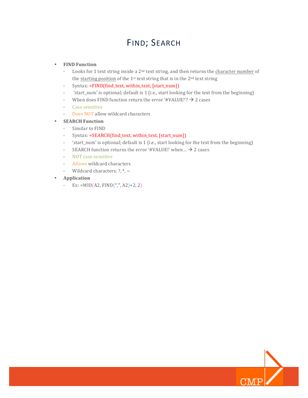## FIND; SEARCH

### • **FIND Function**

- Looks for 1 text string inside a  $2<sup>nd</sup>$  text string, and then returns the character number of the starting position of the  $1<sup>st</sup>$  text string that is in the  $2<sup>nd</sup>$  text string
- Syntax: =FIND(find\_text, within\_text, [start\_num])
- 'start\_num' is optional; default is 1 (i.e., start looking for the text from the beginning)
- When does FIND function return the error '#VALUE!'?  $\rightarrow$  2 cases
- Case sensitive
- Does NOT allow wildcard characters
- **SEARCH Function**
	- Similar to FIND
	- Syntax: =SEARCH(find\_text, within\_text, [start\_num])
	- 'start\_num' is optional; default is 1 (i.e., start looking for the text from the beginning)
	- SEARCH function returns the error '#VALUE!' when ...  $\rightarrow$  2 cases
	- NOT case sensitive
	- Allows wildcard characters
	- Wildcard characters:  $?$ ,  $*$ ,  $\sim$
- **Application** 
	- Ex:  $=MID(42, FIND($ <sup>"</sup>,", A2)+2, 2)

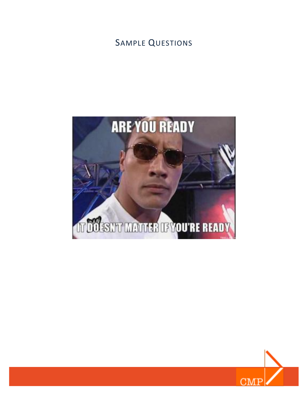## SAMPLE QUESTIONS



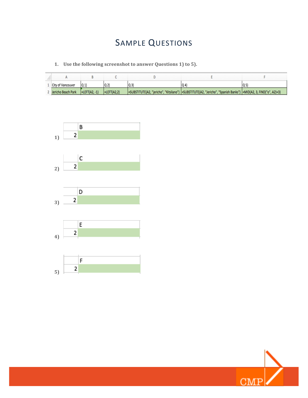## SAMPLE QUESTIONS

1. Use the following screenshot to answer Questions 1) to 5).

| City of Vancouver  | lQ 1                     |                      |                                                                                                                    |  |
|--------------------|--------------------------|----------------------|--------------------------------------------------------------------------------------------------------------------|--|
| Jericho Beach Park | $ \text{=LEFT}(A2, -1) $ | $ \equiv$ LEFT(A2.2) | =SUBSTITUTE(A2, "jericho", "Kitsilano")  =SUBSTITUTE(A2, "Jericho", "Spanish Banks")  =MID(A2, 3, FIND("o", A2)+3) |  |



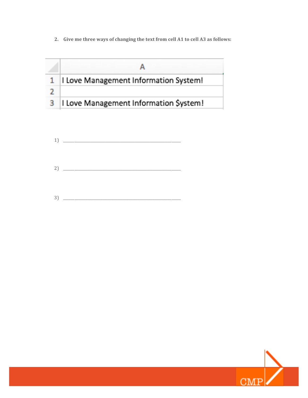2. Give me three ways of changing the text from cell A1 to cell A3 as follows:

|   | I Love Management Information System!  |
|---|----------------------------------------|
|   |                                        |
| з | I Love Management Information \$ystem! |

|             | $\begin{array}{c} 1 \end{array}$                                                                                                                                                                                                                                                                                                                                                                                                                                                            |
|-------------|---------------------------------------------------------------------------------------------------------------------------------------------------------------------------------------------------------------------------------------------------------------------------------------------------------------------------------------------------------------------------------------------------------------------------------------------------------------------------------------------|
|             |                                                                                                                                                                                                                                                                                                                                                                                                                                                                                             |
|             |                                                                                                                                                                                                                                                                                                                                                                                                                                                                                             |
|             |                                                                                                                                                                                                                                                                                                                                                                                                                                                                                             |
|             |                                                                                                                                                                                                                                                                                                                                                                                                                                                                                             |
|             |                                                                                                                                                                                                                                                                                                                                                                                                                                                                                             |
|             |                                                                                                                                                                                                                                                                                                                                                                                                                                                                                             |
|             |                                                                                                                                                                                                                                                                                                                                                                                                                                                                                             |
|             |                                                                                                                                                                                                                                                                                                                                                                                                                                                                                             |
| $3^{\circ}$ | $\begin{tabular}{cccccc} \multicolumn{2}{c} {\textbf{1}} & \multicolumn{2}{c} {\textbf{2}} & \multicolumn{2}{c} {\textbf{3}} & \multicolumn{2}{c} {\textbf{4}} & \multicolumn{2}{c} {\textbf{5}} & \multicolumn{2}{c} {\textbf{6}} & \multicolumn{2}{c} {\textbf{7}} & \multicolumn{2}{c} {\textbf{8}} & \multicolumn{2}{c} {\textbf{9}} & \multicolumn{2}{c} {\textbf{1}} & \multicolumn{2}{c} {\textbf{1}} & \multicolumn{2}{c} {\textbf{1}} & \multicolumn{2}{c} {\textbf{1}} & \multic$ |

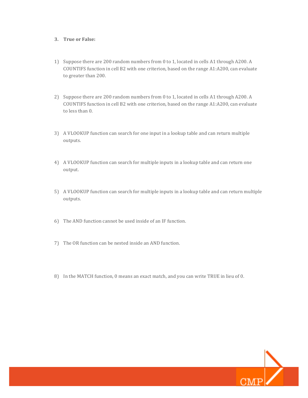### **3. True or False:**

- 1) Suppose there are 200 random numbers from 0 to 1, located in cells A1 through A200. A COUNTIFS function in cell B2 with one criterion, based on the range  $A1:A200$ , can evaluate to greater than 200.
- 2) Suppose there are 200 random numbers from 0 to 1, located in cells A1 through A200. A COUNTIFS function in cell B2 with one criterion, based on the range  $A1:A200$ , can evaluate to less than 0.
- 3) A VLOOKUP function can search for one input in a lookup table and can return multiple outputs.
- 4) A VLOOKUP function can search for multiple inputs in a lookup table and can return one output.
- 5) A VLOOKUP function can search for multiple inputs in a lookup table and can return multiple outputs.
- 6) The AND function cannot be used inside of an IF function.
- 7) The OR function can be nested inside an AND function.
- 8) In the MATCH function, 0 means an exact match, and you can write TRUE in lieu of 0.

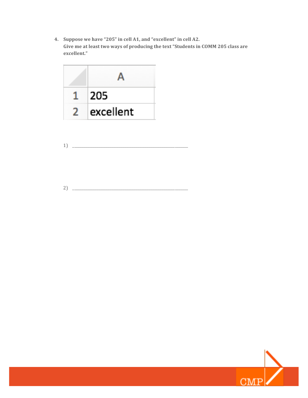4. Suppose we have "205" in cell A1, and "excellent" in cell A2. Give me at least two ways of producing the text "Students in COMM 205 class are **excellent."**



$$
1) \quad \overbrace{\qquad \qquad }
$$

2) \_\_\_\_\_\_\_\_\_\_\_\_\_\_\_\_\_\_\_\_\_\_\_\_\_\_\_\_\_\_\_\_\_\_\_\_\_\_\_\_\_\_\_\_\_\_\_\_\_\_\_\_\_\_\_\_\_\_\_\_\_\_

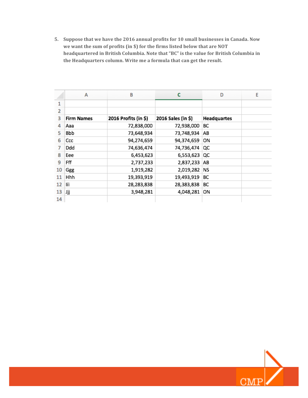5. Suppose that we have the 2016 annual profits for 10 small businesses in Canada. Now we want the sum of profits (in \$) for the firms listed below that are NOT headquartered in British Columbia. Note that "BC" is the value for British Columbia in the Headquarters column. Write me a formula that can get the result.

|    | A                 | B                    | c                  | D                  | E |
|----|-------------------|----------------------|--------------------|--------------------|---|
| 1  |                   |                      |                    |                    |   |
| 2  |                   |                      |                    |                    |   |
| 3  | <b>Firm Names</b> | 2016 Profits (in \$) | 2016 Sales (in \$) | <b>Headquartes</b> |   |
| 4  | Aaa               | 72,838,000           | 72,938,000         | ВC                 |   |
| 5  | Bbb               | 73,648,934           | 73,748,934         | AB                 |   |
| 6  | Ccc               | 94,274,659           | 94,374,659         | ON                 |   |
| 7  | Ddd               | 74,636,474           | 74,736,474         | QC                 |   |
| 8  | Eee               | 6,453,623            | 6,553,623          | QC                 |   |
| 9  | Fff               | 2,737,233            | 2,837,233 AB       |                    |   |
| 10 | Ggg               | 1,919,282            | 2,019,282          | NS                 |   |
| 11 | Hhh               | 19,393,919           | 19,493,919         | BС                 |   |
| 12 | lii               | 28,283,838           | 28,383,838         | ВC                 |   |
| 13 | Jjj               | 3,948,281            | 4,048,281          | ON                 |   |
| 14 |                   |                      |                    |                    |   |

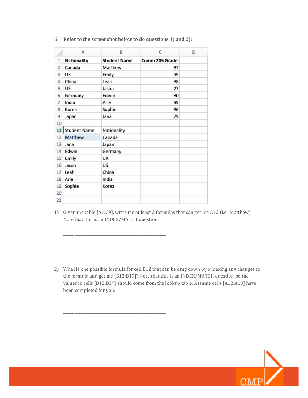|                | А            | B                   | Ċ              | D |
|----------------|--------------|---------------------|----------------|---|
| 1              | Nationality  | <b>Student Name</b> | Comm 205 Grade |   |
| $\overline{2}$ | Canada       | Matthew             | 87             |   |
| 3              | UK           | Emily               | 95             |   |
| 4              | China        | Leah                | 88             |   |
| 5              | US           | Jason               | 77             |   |
| 6              | Germany      | Edwin               | 80             |   |
| 7              | India        | Arie                | 99             |   |
| 8              | Korea        | Sophie              | 86             |   |
| 9              | Japan        | Jana                | 79             |   |
| 10             |              |                     |                |   |
| 11             | Student Name | Nationality         |                |   |
| 12             | Matthew      | Canada              |                |   |
| 13             | Jana         | Japan               |                |   |
| 14             | Edwin        | Germany             |                |   |
| 15             | Emily        | UK                  |                |   |
| 16             | Jason        | US                  |                |   |
| 17             | Leah         | China               |                |   |
| 18             | Arie         | India               |                |   |
| 19             | Sophie       | Korea               |                |   |
| 20             |              |                     |                |   |
| 21             |              |                     |                |   |

\_\_\_\_\_\_\_\_\_\_\_\_\_\_\_\_\_\_\_\_\_\_\_\_\_\_\_\_\_\_\_\_\_\_\_\_\_\_\_\_\_\_\_\_\_\_\_\_\_\_\_\_\_\_\_

\_\_\_\_\_\_\_\_\_\_\_\_\_\_\_\_\_\_\_\_\_\_\_\_\_\_\_\_\_\_\_\_\_\_\_\_\_\_\_\_\_\_\_\_\_\_\_\_\_\_\_\_\_\_\_

\_\_\_\_\_\_\_\_\_\_\_\_\_\_\_\_\_\_\_\_\_\_\_\_\_\_\_\_\_\_\_\_\_\_\_\_\_\_\_\_\_\_\_\_\_\_\_\_\_\_\_\_\_\_\_

6. Refer to the screenshot below to do questions 1) and 2):

1) Given the table [A1:C9], write me at least 2 formulas that can get me A12 (i.e., Matthew). Note that this is an INDEX/MATCH question.



<sup>2)</sup> What is one possible formula for cell B12 that can be drag down  $w/o$  making any changes to the formula and get me [B12:B19]? Note that this is an INDEX/MATCH question, so the values in cells [B12:B19] should come from the lookup table. Assume cells [A12:A19] have been completed for you.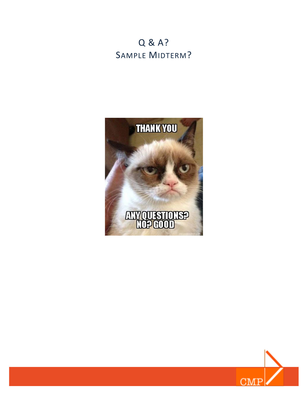## Q & A? SAMPLE MIDTERM?



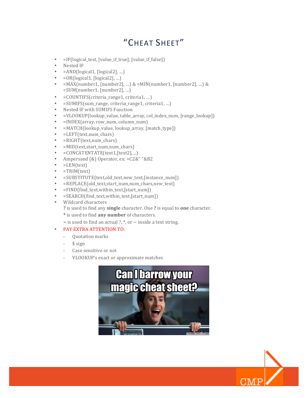## "CHEAT SHEET"

- $\bullet$  =IF(logical\_test, [value\_if\_true], [value\_if\_false])
- Nested IF
- $=$  AND(logical1, [logical2], ...)
- $=$   $OR(logical1, [logical2], ...)$
- $=MAX(number1, [number2], ...)$  &  $=MIN(number1, [number2], ...)$  &  $=$ SUM(number1, [number2], ...)
- $=$  COUNTIFS(criteria\_range1, criteria1, ...)
- =SUMIFS(sum\_range, criteria\_range1, criteria1, …)
- Nested IF with SUMIFS Function
- =VLOOKUP(lookup\_value, table\_array, col\_index\_num, [range\_lookup])
- =INDEX(array, row\_num, column\_num)
- =MATCH(lookup\_value, lookup\_array, [match\_type])
- =LEFT(text,num\_chars)
- =RIGHT(text,num\_chars)
- =MID(text,start\_num,num\_chars)
- =CONCATENTATE(text1,[text2],…)
- Ampersand (&) Operator, ex: =C2&" "&B2
- =LEN(text)
- $=TRIM(text)$
- =SUBSTITUTE(text,old\_text,new\_text,[instance\_num])
- =REPLACE(old\_text,start\_num,num\_chars,new\_text)
- =FIND(find\_text,within\_text,[start\_num])
- =SEARCH(find\_text,within\_text,[start\_num])
- Wildcard characters
	- ? is used to find any **single** character. One ? is equal to **one** character.
	- \* is used to find any number of characters.
	- $\sim$  is used to find an actual ?,  $*$ , or  $\sim$  inside a text string.

### • PAY EXTRA ATTENTION TO:

- Ouotation marks
- $$$  sign
- Case sensitive or not
- VLOOKUP's exact or approximate matches